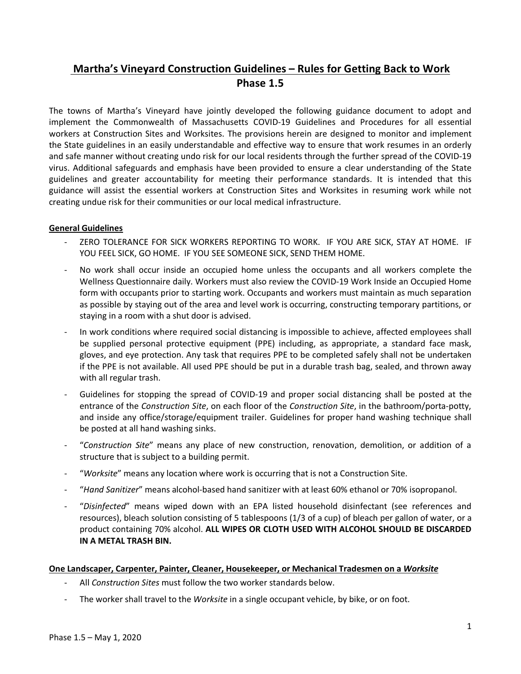# **Martha's Vineyard Construction Guidelines – Rules for Getting Back to Work Phase 1.5**

The towns of Martha's Vineyard have jointly developed the following guidance document to adopt and implement the Commonwealth of Massachusetts COVID-19 Guidelines and Procedures for all essential workers at Construction Sites and Worksites. The provisions herein are designed to monitor and implement the State guidelines in an easily understandable and effective way to ensure that work resumes in an orderly and safe manner without creating undo risk for our local residents through the further spread of the COVID-19 virus. Additional safeguards and emphasis have been provided to ensure a clear understanding of the State guidelines and greater accountability for meeting their performance standards. It is intended that this guidance will assist the essential workers at Construction Sites and Worksites in resuming work while not creating undue risk for their communities or our local medical infrastructure.

## **General Guidelines**

- ZERO TOLERANCE FOR SICK WORKERS REPORTING TO WORK. IF YOU ARE SICK, STAY AT HOME. IF YOU FEEL SICK, GO HOME. IF YOU SEE SOMEONE SICK, SEND THEM HOME.
- No work shall occur inside an occupied home unless the occupants and all workers complete the Wellness Questionnaire daily. Workers must also review the COVID-19 Work Inside an Occupied Home form with occupants prior to starting work. Occupants and workers must maintain as much separation as possible by staying out of the area and level work is occurring, constructing temporary partitions, or staying in a room with a shut door is advised.
- In work conditions where required social distancing is impossible to achieve, affected employees shall be supplied personal protective equipment (PPE) including, as appropriate, a standard face mask, gloves, and eye protection. Any task that requires PPE to be completed safely shall not be undertaken if the PPE is not available. All used PPE should be put in a durable trash bag, sealed, and thrown away with all regular trash.
- Guidelines for stopping the spread of COVID-19 and proper social distancing shall be posted at the entrance of the *Construction Site*, on each floor of the *Construction Site*, in the bathroom/porta-potty, and inside any office/storage/equipment trailer. Guidelines for proper hand washing technique shall be posted at all hand washing sinks.
- "*Construction Site*" means any place of new construction, renovation, demolition, or addition of a structure that is subject to a building permit.
- "*Worksite*" means any location where work is occurring that is not a Construction Site.
- "*Hand Sanitizer*" means alcohol-based hand sanitizer with at least 60% ethanol or 70% isopropanol.
- "*Disinfected*" means wiped down with an EPA listed household disinfectant (see references and resources), bleach solution consisting of 5 tablespoons (1/3 of a cup) of bleach per gallon of water, or a product containing 70% alcohol. **ALL WIPES OR CLOTH USED WITH ALCOHOL SHOULD BE DISCARDED IN A METAL TRASH BIN.**

### **One Landscaper, Carpenter, Painter, Cleaner, Housekeeper, or Mechanical Tradesmen on a** *Worksite*

- All *Construction Sites* must follow the two worker standards below.
- The worker shall travel to the *Worksite* in a single occupant vehicle, by bike, or on foot.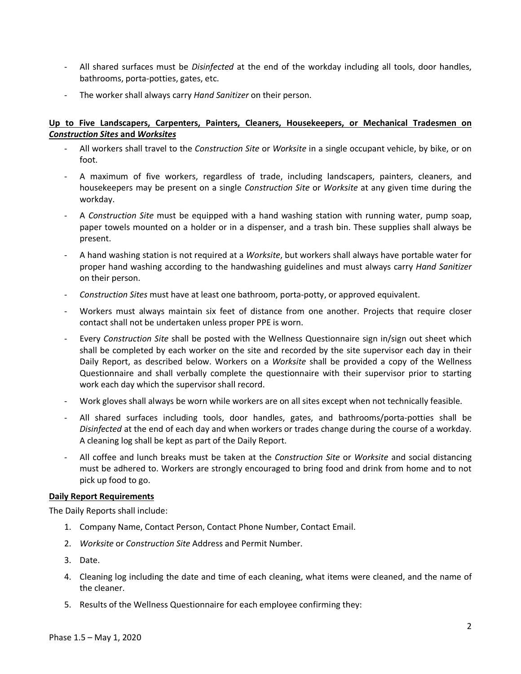- All shared surfaces must be *Disinfected* at the end of the workday including all tools, door handles, bathrooms, porta-potties, gates, etc.
- The worker shall always carry *Hand Sanitizer* on their person.

# **Up to Five Landscapers, Carpenters, Painters, Cleaners, Housekeepers, or Mechanical Tradesmen on**  *Construction Sites* **and** *Worksites*

- All workers shall travel to the *Construction Site* or *Worksite* in a single occupant vehicle, by bike, or on foot.
- A maximum of five workers, regardless of trade, including landscapers, painters, cleaners, and housekeepers may be present on a single *Construction Site* or *Worksite* at any given time during the workday.
- A *Construction Site* must be equipped with a hand washing station with running water, pump soap, paper towels mounted on a holder or in a dispenser, and a trash bin. These supplies shall always be present.
- A hand washing station is not required at a *Worksite*, but workers shall always have portable water for proper hand washing according to the handwashing guidelines and must always carry *Hand Sanitizer*  on their person.
- *Construction Sites* must have at least one bathroom, porta-potty, or approved equivalent.
- Workers must always maintain six feet of distance from one another. Projects that require closer contact shall not be undertaken unless proper PPE is worn.
- Every *Construction Site* shall be posted with the Wellness Questionnaire sign in/sign out sheet which shall be completed by each worker on the site and recorded by the site supervisor each day in their Daily Report, as described below. Workers on a *Worksite* shall be provided a copy of the Wellness Questionnaire and shall verbally complete the questionnaire with their supervisor prior to starting work each day which the supervisor shall record.
- Work gloves shall always be worn while workers are on all sites except when not technically feasible.
- All shared surfaces including tools, door handles, gates, and bathrooms/porta-potties shall be *Disinfected* at the end of each day and when workers or trades change during the course of a workday. A cleaning log shall be kept as part of the Daily Report.
- All coffee and lunch breaks must be taken at the *Construction Site* or *Worksite* and social distancing must be adhered to. Workers are strongly encouraged to bring food and drink from home and to not pick up food to go.

## **Daily Report Requirements**

The Daily Reports shall include:

- 1. Company Name, Contact Person, Contact Phone Number, Contact Email.
- 2. *Worksite* or *Construction Site* Address and Permit Number.
- 3. Date.
- 4. Cleaning log including the date and time of each cleaning, what items were cleaned, and the name of the cleaner.
- 5. Results of the Wellness Questionnaire for each employee confirming they: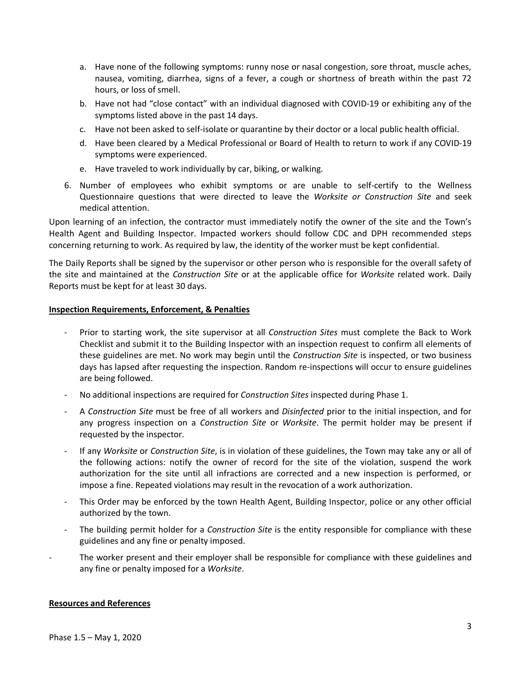- a. Have none of the following symptoms: runny nose or nasal congestion, sore throat, muscle aches, nausea, vomiting, diarrhea, signs of a fever, a cough or shortness of breath within the past 72 hours, or loss of smell.
- b. Have not had "close contact" with an individual diagnosed with COVID-19 or exhibiting any of the symptoms listed above in the past 14 days.
- c. Have not been asked to self-isolate or quarantine by their doctor or a local public health official.
- d. Have been cleared by a Medical Professional or Board of Health to return to work if any COVID-19 symptoms were experienced.
- e. Have traveled to work individually by car, biking, or walking.
- 6. Number of employees who exhibit symptoms or are unable to self-certify to the Wellness Questionnaire questions that were directed to leave the *Worksite or Construction Site* and seek medical attention.

Upon learning of an infection, the contractor must immediately notify the owner of the site and the Town's Health Agent and Building Inspector. Impacted workers should follow CDC and DPH recommended steps concerning returning to work. As required by law, the identity of the worker must be kept confidential.

The Daily Reports shall be signed by the supervisor or other person who is responsible for the overall safety of the site and maintained at the *Construction Site* or at the applicable office for *Worksite* related work. Daily Reports must be kept for at least 30 days.

### **Inspection Requirements, Enforcement, & Penalties**

- Prior to starting work, the site supervisor at all *Construction Sites* must complete the Back to Work Checklist and submit it to the Building Inspector with an inspection request to confirm all elements of these guidelines are met. No work may begin until the *Construction Site* is inspected, or two business days has lapsed after requesting the inspection. Random re-inspections will occur to ensure guidelines are being followed.
- No additional inspections are required for *Construction Sites* inspected during Phase 1.
- A *Construction Site* must be free of all workers and *Disinfected* prior to the initial inspection, and for any progress inspection on a *Construction Site* or *Worksite*. The permit holder may be present if requested by the inspector.
- If any *Worksite* or *Construction Site*, is in violation of these guidelines, the Town may take any or all of the following actions: notify the owner of record for the site of the violation, suspend the work authorization for the site until all infractions are corrected and a new inspection is performed, or impose a fine. Repeated violations may result in the revocation of a work authorization.
- This Order may be enforced by the town Health Agent, Building Inspector, police or any other official authorized by the town.
- The building permit holder for a *Construction Site* is the entity responsible for compliance with these guidelines and any fine or penalty imposed.
- The worker present and their employer shall be responsible for compliance with these guidelines and any fine or penalty imposed for a *Worksite*.

### **Resources and References**